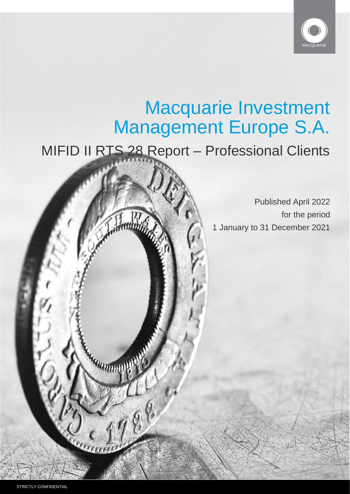

# Macquarie Investment Management Europe S.A.

MIFID II RTS 28 Report – Professional Clients

Published April 2022 for the period 1 January to 31 December 2021

**LANDININ**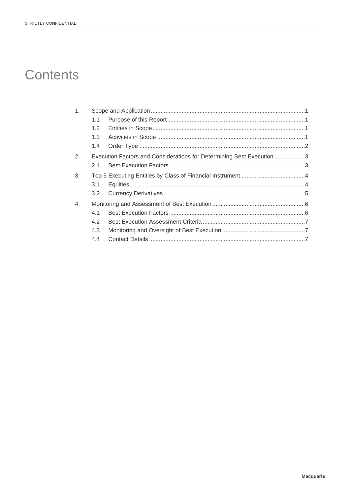# **Contents**

| 1 <sub>1</sub> |                                                                      |  |  |  |
|----------------|----------------------------------------------------------------------|--|--|--|
|                | 1.1                                                                  |  |  |  |
|                | 1.2 <sub>1</sub>                                                     |  |  |  |
|                | 1.3                                                                  |  |  |  |
|                | 1.4                                                                  |  |  |  |
| 2.             | Execution Factors and Considerations for Determining Best Execution3 |  |  |  |
|                | 21                                                                   |  |  |  |
| 3.             |                                                                      |  |  |  |
|                | 3.1                                                                  |  |  |  |
|                | 3.2                                                                  |  |  |  |
| 4.             |                                                                      |  |  |  |
|                | 4.1                                                                  |  |  |  |
|                | 4.2                                                                  |  |  |  |
|                | 4.3                                                                  |  |  |  |
|                | 4.4                                                                  |  |  |  |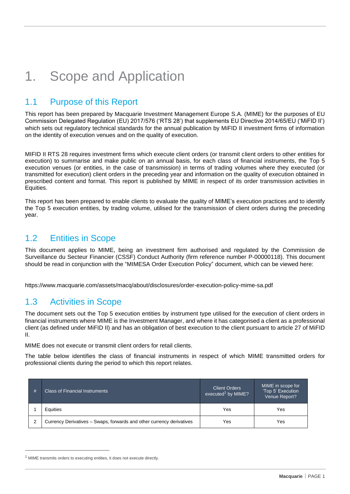# <span id="page-2-0"></span>1. Scope and Application

#### <span id="page-2-1"></span>1.1 Purpose of this Report

This report has been prepared by Macquarie Investment Management Europe S.A. (MIME) for the purposes of EU Commission Delegated Regulation (EU) 2017/576 ('RTS 28') that supplements EU Directive 2014/65/EU ('MiFID II') which sets out regulatory technical standards for the annual publication by MiFID II investment firms of information on the identity of execution venues and on the quality of execution.

MIFID II RTS 28 requires investment firms which execute client orders (or transmit client orders to other entities for execution) to summarise and make public on an annual basis, for each class of financial instruments, the Top 5 execution venues (or entities, in the case of transmission) in terms of trading volumes where they executed (or transmitted for execution) client orders in the preceding year and information on the quality of execution obtained in prescribed content and format. This report is published by MIME in respect of its order transmission activities in Equities.

This report has been prepared to enable clients to evaluate the quality of MIME's execution practices and to identify the Top 5 execution entities, by trading volume, utilised for the transmission of client orders during the preceding year.

#### <span id="page-2-2"></span>1.2 Entities in Scope

This document applies to MIME, being an investment firm authorised and regulated by the Commission de Surveillance du Secteur Financier (CSSF) Conduct Authority (firm reference number P-00000118). This document should be read in conjunction with the "MIMESA Order Execution Policy" document, which can be viewed here:

https://www.macquarie.com/assets/macq/about/disclosures/order-execution-policy-mime-sa.pdf

### <span id="page-2-3"></span>1.3 Activities in Scope

The document sets out the Top 5 execution entities by instrument type utilised for the execution of client orders in financial instruments where MIME is the Investment Manager, and where it has categorised a client as a professional client (as defined under MiFID II) and has an obligation of best execution to the client pursuant to article 27 of MiFID II.

MIME does not execute or transmit client orders for retail clients.

The table below identifies the class of financial instruments in respect of which MIME transmitted orders for professional clients during the period to which this report relates.

| # | <b>Class of Financial Instruments</b>                                 | <b>Client Orders</b><br>executed <sup>1</sup> by MIME? | MIME in scope for<br>'Top 5' Execution<br>Venue Report? |
|---|-----------------------------------------------------------------------|--------------------------------------------------------|---------------------------------------------------------|
|   | Equities                                                              | Yes                                                    | Yes                                                     |
|   | Currency Derivatives - Swaps, forwards and other currency derivatives | Yes                                                    | Yes                                                     |

 $1$  MIME transmits orders to executing entities, it does not execute directly.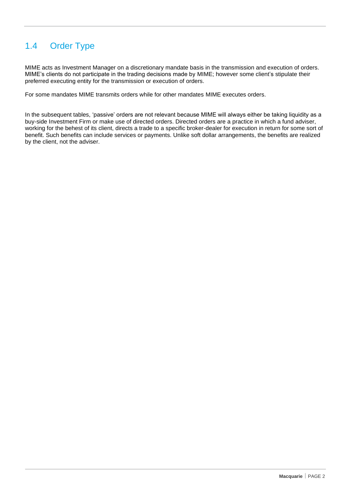### <span id="page-3-0"></span>1.4 Order Type

MIME acts as Investment Manager on a discretionary mandate basis in the transmission and execution of orders. MIME's clients do not participate in the trading decisions made by MIME; however some client's stipulate their preferred executing entity for the transmission or execution of orders.

For some mandates MIME transmits orders while for other mandates MIME executes orders.

In the subsequent tables, 'passive' orders are not relevant because MIME will always either be taking liquidity as a buy-side Investment Firm or make use of directed orders. Directed orders are a practice in which a fund adviser, working for the behest of its client, directs a trade to a specific broker-dealer for execution in return for some sort of benefit. Such benefits can include services or payments. Unlike soft dollar arrangements, the benefits are realized by the client, not the adviser.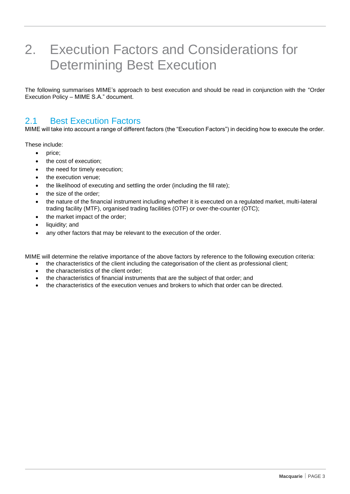# <span id="page-4-0"></span>2. Execution Factors and Considerations for Determining Best Execution

The following summarises MIME's approach to best execution and should be read in conjunction with the "Order Execution Policy – MIME S.A." document.

#### <span id="page-4-1"></span>2.1 Best Execution Factors

MIME will take into account a range of different factors (the "Execution Factors") in deciding how to execute the order.

These include:

- price;
- the cost of execution;
- the need for timely execution;
- the execution venue:
- the likelihood of executing and settling the order (including the fill rate);
- the size of the order;
- the nature of the financial instrument including whether it is executed on a regulated market, multi-lateral trading facility (MTF), organised trading facilities (OTF) or over-the-counter (OTC);
- the market impact of the order;
- liquidity; and
- any other factors that may be relevant to the execution of the order.

MIME will determine the relative importance of the above factors by reference to the following execution criteria:

- the characteristics of the client including the categorisation of the client as professional client;
- the characteristics of the client order;
- the characteristics of financial instruments that are the subject of that order; and
- the characteristics of the execution venues and brokers to which that order can be directed.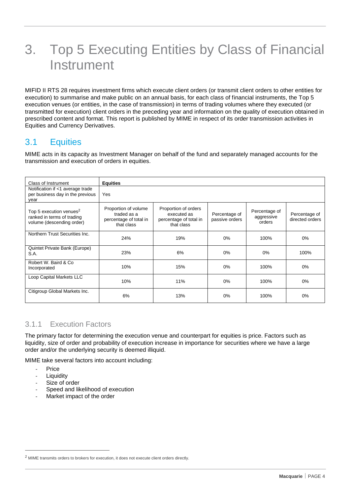# <span id="page-5-0"></span>3. Top 5 Executing Entities by Class of Financial **Instrument**

MIFID II RTS 28 requires investment firms which execute client orders (or transmit client orders to other entities for execution) to summarise and make public on an annual basis, for each class of financial instruments, the Top 5 execution venues (or entities, in the case of transmission) in terms of trading volumes where they executed (or transmitted for execution) client orders in the preceding year and information on the quality of execution obtained in prescribed content and format. This report is published by MIME in respect of its order transmission activities in Equities and Currency Derivatives.

#### <span id="page-5-1"></span>3.1 Equities

MIME acts in its capacity as Investment Manager on behalf of the fund and separately managed accounts for the transmission and execution of orders in equities.

| Class of Instrument                                                                            | <b>Equities</b>                                                             |                                                                             |                                 |                                       |                                  |
|------------------------------------------------------------------------------------------------|-----------------------------------------------------------------------------|-----------------------------------------------------------------------------|---------------------------------|---------------------------------------|----------------------------------|
| Notification if <1 average trade<br>per business day in the previous<br>year                   | Yes                                                                         |                                                                             |                                 |                                       |                                  |
| Top 5 execution venues <sup>2</sup><br>ranked in terms of trading<br>volume (descending order) | Proportion of volume<br>traded as a<br>percentage of total in<br>that class | Proportion of orders<br>executed as<br>percentage of total in<br>that class | Percentage of<br>passive orders | Percentage of<br>aggressive<br>orders | Percentage of<br>directed orders |
| Northern Trust Securities Inc.                                                                 | 24%                                                                         | 19%                                                                         | $0\%$                           | 100%                                  | 0%                               |
| Quintet Private Bank (Europe)<br>S.A.                                                          | 23%                                                                         | 6%                                                                          | $0\%$                           | 0%                                    | 100%                             |
| Robert W. Baird & Co.<br>Incorporated                                                          | 10%                                                                         | 15%                                                                         | $0\%$                           | 100%                                  | 0%                               |
| Loop Capital Markets LLC                                                                       | 10%                                                                         | 11%                                                                         | $0\%$                           | 100%                                  | 0%                               |
| Citigroup Global Markets Inc.                                                                  | 6%                                                                          | 13%                                                                         | $0\%$                           | 100%                                  | 0%                               |

#### 3.1.1 Execution Factors

The primary factor for determining the execution venue and counterpart for equities is price. Factors such as liquidity, size of order and probability of execution increase in importance for securities where we have a large order and/or the underlying security is deemed illiquid.

MIME take several factors into account including:

- **Price**
- **Liquidity**
- Size of order
- Speed and likelihood of execution
- Market impact of the order

<sup>&</sup>lt;sup>2</sup> MIME transmits orders to brokers for execution, it does not execute client orders directly.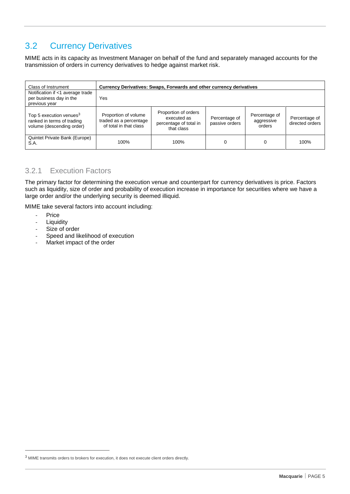### <span id="page-6-0"></span>3.2 Currency Derivatives

MIME acts in its capacity as Investment Manager on behalf of the fund and separately managed accounts for the transmission of orders in currency derivatives to hedge against market risk.

| Class of Instrument                                                                            | Currency Derivatives: Swaps, Forwards and other currency derivatives     |                                                                             |                                 |                                       |                                  |
|------------------------------------------------------------------------------------------------|--------------------------------------------------------------------------|-----------------------------------------------------------------------------|---------------------------------|---------------------------------------|----------------------------------|
| Notification if <1 average trade<br>per business day in the<br>previous year                   | Yes                                                                      |                                                                             |                                 |                                       |                                  |
| Top 5 execution venues <sup>3</sup><br>ranked in terms of trading<br>volume (descending order) | Proportion of volume<br>traded as a percentage<br>of total in that class | Proportion of orders<br>executed as<br>percentage of total in<br>that class | Percentage of<br>passive orders | Percentage of<br>aggressive<br>orders | Percentage of<br>directed orders |
| Quintet Private Bank (Europe)<br>S.A.                                                          | 100%                                                                     | 100%                                                                        |                                 |                                       | 100%                             |

#### 3.2.1 Execution Factors

The primary factor for determining the execution venue and counterpart for currency derivatives is price. Factors such as liquidity, size of order and probability of execution increase in importance for securities where we have a large order and/or the underlying security is deemed illiquid.

MIME take several factors into account including:

- Price
- Liquidity<br>- Size of o
- Size of order<br>- Speed and like
- Speed and likelihood of execution<br>- Market impact of the order
- Market impact of the order

<sup>3</sup> MIME transmits orders to brokers for execution, it does not execute client orders directly.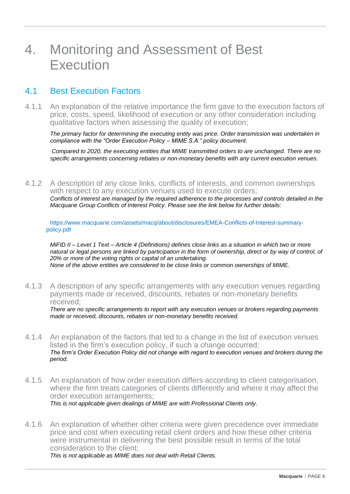### <span id="page-7-0"></span>4. Monitoring and Assessment of Best **Execution**

#### <span id="page-7-1"></span>4.1 Best Execution Factors

4.1.1 An explanation of the relative importance the firm gave to the execution factors of price, costs, speed, likelihood of execution or any other consideration including qualitative factors when assessing the quality of execution;

*The primary factor for determining the executing entity was price. Order transmission was undertaken in compliance with the "Order Execution Policy – MIME S.A." policy document.*

*Compared to 2020, the executing entities that MIME transmitted orders to are unchanged. There are no specific arrangements concerning rebates or non-monetary benefits with any current execution venues.*

4.1.2 A description of any close links, conflicts of interests, and common ownerships with respect to any execution venues used to execute orders;

*Conflicts of interest are managed by the required adherence to the processes and controls detailed in the Macquarie Group Conflicts of Interest Policy. Please see the link below for further details:*

https://www.macquarie.com/assets/macq/about/disclosures/EMEA-Conflicts-of-Interest-summarypolicy.pdf

*MiFID II – Level 1 Text – Article 4 (Definitions) defines close links as a situation in which two or more natural or legal persons are linked by participation in the form of ownership, direct or by way of control, of 20% or more of the voting rights or capital of an undertaking. None of the above entities are considered to be close links or common ownerships of MIME.*

4.1.3 A description of any specific arrangements with any execution venues regarding payments made or received, discounts, rebates or non-monetary benefits received;

*There are no specific arrangements to report with any execution venues or brokers regarding payments made or received, discounts, rebates or non-monetary benefits received.*

- 4.1.4 An explanation of the factors that led to a change in the list of execution venues listed in the firm's execution policy, if such a change occurred; *The firm's Order Execution Policy did not change with regard to execution venues and brokers during the period.*
- 4.1.5 An explanation of how order execution differs according to client categorisation, where the firm treats categories of clients differently and where it may affect the order execution arrangements; *This is not applicable given dealings of MIME are with Professional Clients only.*
- 4.1.6 An explanation of whether other criteria were given precedence over immediate price and cost when executing retail client orders and how these other criteria were instrumental in delivering the best possible result in terms of the total consideration to the client; *This is not applicable as MIME does not deal with Retail Clients.*